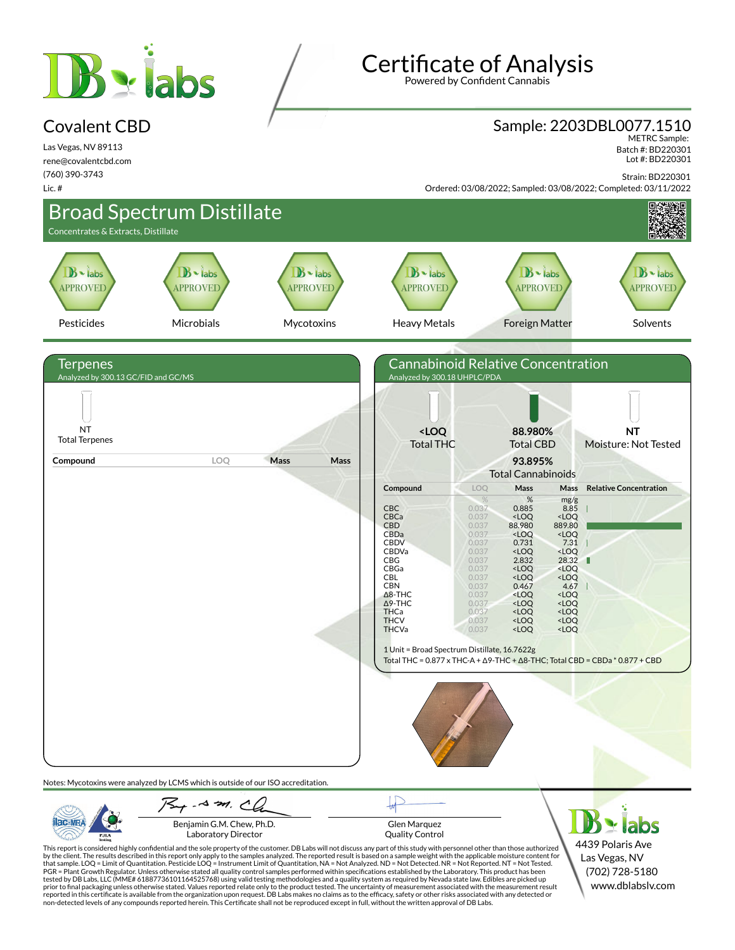# **B** stabs

#### Covalent CBD

Las Vegas, NV 89113 rene@covalentcbd.com (760) 390-3743 Lic. #

**Certificate of Analysis** 

Powered by Confident Cannabis

# Sample: 2203DBL0077.1510 METRC Sample:

 Batch #: BD220301 Lot #: BD220301

Strain: BD220301

Ordered: 03/08/2022; Sampled: 03/08/2022; Completed: 03/11/2022



Laboratory Director

PJLA

Glen Marquez Quality Control

This report is considered highly confidential and the sole property of the customer. DB Labs will not discuss any part of this study with personnel other than those authorized<br>by the client. The results described in this r tested by DB Labs, LLC (MME# 61887736101164525768) using valid testing methodologies and a quality system as required by Nevada state law. Edibles are picked up<br>prior to final packaging unless otherwise stated. Values repo

4439 Polaris Ave Las Vegas, NV (702) 728-5180 www.dblabslv.com